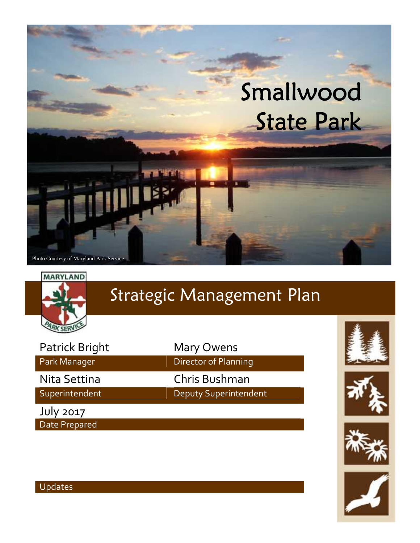



## Strategic Management Plan

| Patrick Bright |
|----------------|
| Park Manager   |
| Nita Settina   |
| Superintendent |

July 2017 Date Prepared **Mary Owens** Director of Planning Chris Bushman

Deputy Superintendent









#### Updates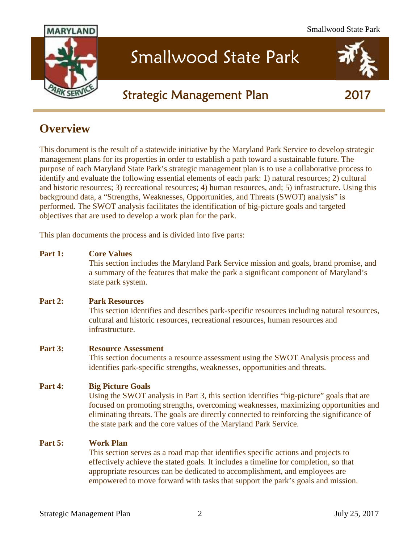

## Smallwood State Park

#### **Strategic Management Plan 2017**

#### **Overview**

This document is the result of a statewide initiative by the Maryland Park Service to develop strategic management plans for its properties in order to establish a path toward a sustainable future. The purpose of each Maryland State Park's strategic management plan is to use a collaborative process to identify and evaluate the following essential elements of each park: 1) natural resources; 2) cultural and historic resources; 3) recreational resources; 4) human resources, and; 5) infrastructure. Using this background data, a "Strengths, Weaknesses, Opportunities, and Threats (SWOT) analysis" is performed. The SWOT analysis facilitates the identification of big-picture goals and targeted objectives that are used to develop a work plan for the park.

This plan documents the process and is divided into five parts:

#### **Part 1: Core Values**

This section includes the Maryland Park Service mission and goals, brand promise, and a summary of the features that make the park a significant component of Maryland's state park system.

#### **Part 2: Park Resources**

This section identifies and describes park-specific resources including natural resources, cultural and historic resources, recreational resources, human resources and infrastructure.

#### **Part 3: Resource Assessment**

This section documents a resource assessment using the SWOT Analysis process and identifies park-specific strengths, weaknesses, opportunities and threats.

#### **Part 4: Big Picture Goals**

Using the SWOT analysis in Part 3, this section identifies "big-picture" goals that are focused on promoting strengths, overcoming weaknesses, maximizing opportunities and eliminating threats. The goals are directly connected to reinforcing the significance of the state park and the core values of the Maryland Park Service.

#### **Part 5: Work Plan**

This section serves as a road map that identifies specific actions and projects to effectively achieve the stated goals. It includes a timeline for completion, so that appropriate resources can be dedicated to accomplishment, and employees are empowered to move forward with tasks that support the park's goals and mission.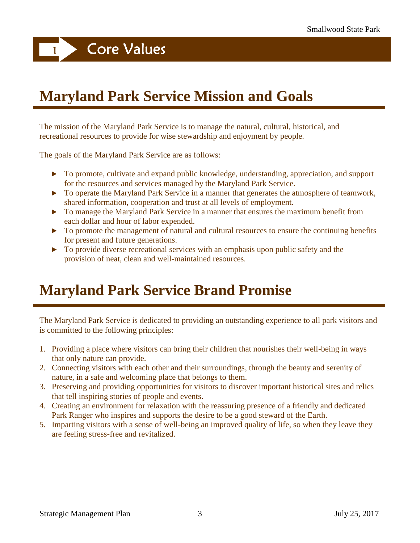**<sup>1</sup> Core Values**

## **Maryland Park Service Mission and Goals**

The mission of the Maryland Park Service is to manage the natural, cultural, historical, and recreational resources to provide for wise stewardship and enjoyment by people.

The goals of the Maryland Park Service are as follows:

To promote, cultivate and expand public knowledge, understanding, appreciation, and support for the resources and services managed by the Maryland Park Service.

To operate the Maryland Park Service in a manner that generates the atmosphere of teamwork, shared information, cooperation and trust at all levels of employment.

To manage the Maryland Park Service in a manner that ensures the maximum benefit from each dollar and hour of labor expended.

To promote the management of natural and cultural resources to ensure the continuing benefits for present and future generations.

To provide diverse recreational services with an emphasis upon public safety and the provision of neat, clean and well-maintained resources.

## **Maryland Park Service Brand Promise**

The Maryland Park Service is dedicated to providing an outstanding experience to all park visitors and is committed to the following principles:

- 1. Providing a place where visitors can bring their children that nourishes their well-being in ways that only nature can provide.
- 2. Connecting visitors with each other and their surroundings, through the beauty and serenity of nature, in a safe and welcoming place that belongs to them.
- 3. Preserving and providing opportunities for visitors to discover important historical sites and relics that tell inspiring stories of people and events.
- 4. Creating an environment for relaxation with the reassuring presence of a friendly and dedicated Park Ranger who inspires and supports the desire to be a good steward of the Earth.
- 5. Imparting visitors with a sense of well-being an improved quality of life, so when they leave they are feeling stress-free and revitalized.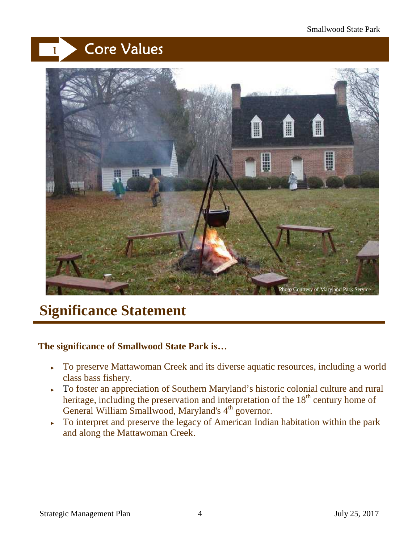## **<sup>1</sup> Core Values**



## **Significance Statement**

#### **The significance of Smallwood State Park is…**

To preserve Mattawoman Creek and its diverse aquatic resources, including a world class bass fishery.

To foster an appreciation of Southern Maryland's historic colonial culture and rural heritage, including the preservation and interpretation of the  $18<sup>th</sup>$  century home of General William Smallwood, Maryland's 4<sup>th</sup> governor.

To interpret and preserve the legacy of American Indian habitation within the park and along the Mattawoman Creek.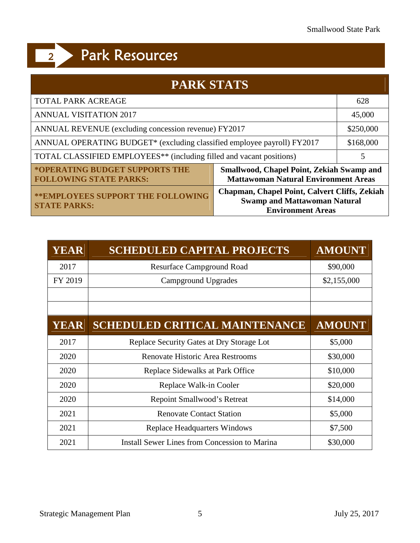| <b>PARK STATS</b>                                                                |                                                                                                                  |           |
|----------------------------------------------------------------------------------|------------------------------------------------------------------------------------------------------------------|-----------|
| <b>TOTAL PARK ACREAGE</b>                                                        |                                                                                                                  | 628       |
| <b>ANNUAL VISITATION 2017</b>                                                    |                                                                                                                  | 45,000    |
| ANNUAL REVENUE (excluding concession revenue) FY2017                             |                                                                                                                  | \$250,000 |
| ANNUAL OPERATING BUDGET* (excluding classified employee payroll) FY2017          |                                                                                                                  | \$168,000 |
| TOTAL CLASSIFIED EMPLOYEES <sup>**</sup> (including filled and vacant positions) |                                                                                                                  |           |
| *OPERATING BUDGET SUPPORTS THE<br><b>FOLLOWING STATE PARKS:</b>                  | <b>Smallwood, Chapel Point, Zekiah Swamp and</b><br><b>Mattawoman Natural Environment Areas</b>                  |           |
| <b>** EMPLOYEES SUPPORT THE FOLLOWING</b><br><b>STATE PARKS:</b>                 | Chapman, Chapel Point, Calvert Cliffs, Zekiah<br><b>Swamp and Mattawoman Natural</b><br><b>Environment Areas</b> |           |

| YEAR        | <b>SCHEDULED CAPITAL PROJECTS</b>                    | <b>AMOUNT</b> |
|-------------|------------------------------------------------------|---------------|
| 2017        | <b>Resurface Campground Road</b>                     | \$90,000      |
| FY 2019     | Campground Upgrades                                  | \$2,155,000   |
|             |                                                      |               |
| <b>YEAR</b> | <b>SCHEDULED CRITICAL MAINTENANCE</b>                | <b>AMOUNT</b> |
| 2017        | Replace Security Gates at Dry Storage Lot            | \$5,000       |
| 2020        | <b>Renovate Historic Area Restrooms</b>              | \$30,000      |
| 2020        | Replace Sidewalks at Park Office                     | \$10,000      |
| 2020        | Replace Walk-in Cooler                               | \$20,000      |
| 2020        | Repoint Smallwood's Retreat                          | \$14,000      |
| 2021        | <b>Renovate Contact Station</b>                      | \$5,000       |
| 2021        | <b>Replace Headquarters Windows</b>                  | \$7,500       |
| 2021        | <b>Install Sewer Lines from Concession to Marina</b> | \$30,000      |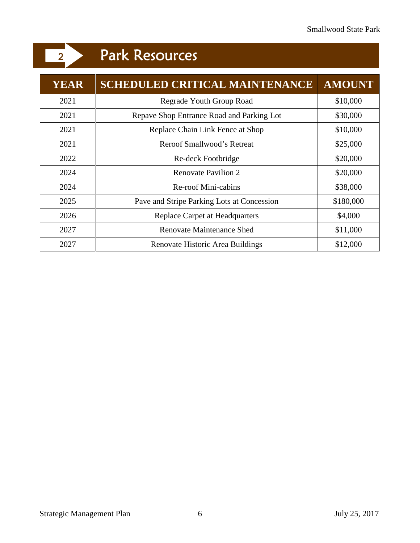| <b>YEAR</b> | <b>SCHEDULED CRITICAL MAINTENANCE</b>      | <b>AMOUNT</b> |
|-------------|--------------------------------------------|---------------|
| 2021        | Regrade Youth Group Road                   | \$10,000      |
| 2021        | Repave Shop Entrance Road and Parking Lot  | \$30,000      |
| 2021        | Replace Chain Link Fence at Shop           | \$10,000      |
| 2021        | Reroof Smallwood's Retreat                 | \$25,000      |
| 2022        | Re-deck Footbridge                         | \$20,000      |
| 2024        | <b>Renovate Pavilion 2</b>                 | \$20,000      |
| 2024        | <b>Re-roof Mini-cabins</b>                 | \$38,000      |
| 2025        | Pave and Stripe Parking Lots at Concession | \$180,000     |
| 2026        | Replace Carpet at Headquarters             | \$4,000       |
| 2027        | <b>Renovate Maintenance Shed</b>           | \$11,000      |
| 2027        | Renovate Historic Area Buildings           | \$12,000      |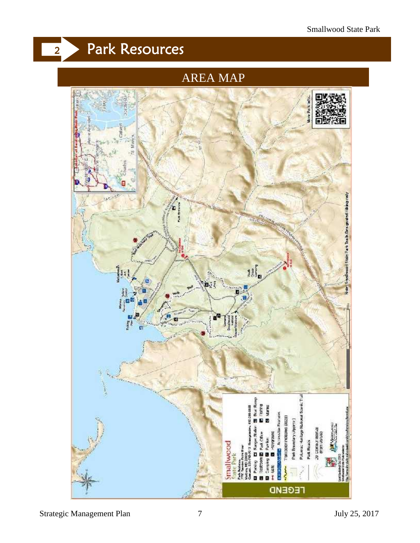#### AREA MAP

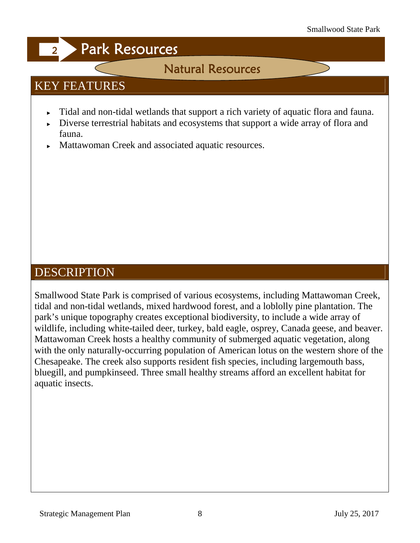### **Natural Resources**

### KEY FEATURES

Tidal and non-tidal wetlands that support a rich variety of aquatic flora and fauna. Diverse terrestrial habitats and ecosystems that support a wide array of flora and fauna.

Mattawoman Creek and associated aquatic resources.

#### DESCRIPTION

Smallwood State Park is comprised of various ecosystems, including Mattawoman Creek, tidal and non-tidal wetlands, mixed hardwood forest, and a loblolly pine plantation. The park's unique topography creates exceptional biodiversity, to include a wide array of wildlife, including white-tailed deer, turkey, bald eagle, osprey, Canada geese, and beaver. Mattawoman Creek hosts a healthy community of submerged aquatic vegetation, along with the only naturally-occurring population of American lotus on the western shore of the Chesapeake. The creek also supports resident fish species, including largemouth bass, bluegill, and pumpkinseed. Three small healthy streams afford an excellent habitat for aquatic insects.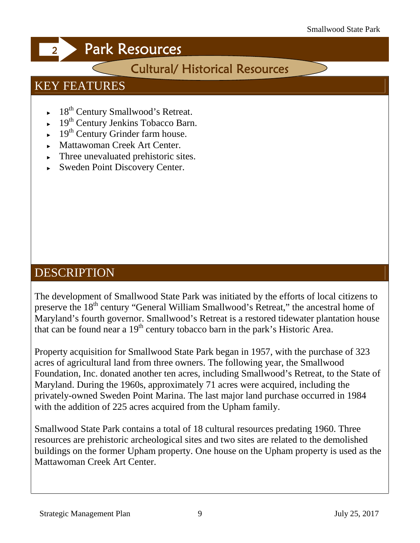### **Cultural/ Historical Resources**

#### KEY FEATURES

18<sup>th</sup> Century Smallwood's Retreat. 19<sup>th</sup> Century Jenkins Tobacco Barn. 19<sup>th</sup> Century Grinder farm house. Mattawoman Creek Art Center. Three unevaluated prehistoric sites. Sweden Point Discovery Center.

#### DESCRIPTION

The development of Smallwood State Park was initiated by the efforts of local citizens to preserve the 18<sup>th</sup> century "General William Smallwood's Retreat," the ancestral home of Maryland's fourth governor. Smallwood's Retreat is a restored tidewater plantation house that can be found near a  $19<sup>th</sup>$  century tobacco barn in the park's Historic Area.

Property acquisition for Smallwood State Park began in 1957, with the purchase of 323 acres of agricultural land from three owners. The following year, the Smallwood Foundation, Inc. donated another ten acres, including Smallwood's Retreat, to the State of Maryland. During the 1960s, approximately 71 acres were acquired, including the privately-owned Sweden Point Marina. The last major land purchase occurred in 1984 with the addition of 225 acres acquired from the Upham family.

Smallwood State Park contains a total of 18 cultural resources predating 1960. Three resources are prehistoric archeological sites and two sites are related to the demolished buildings on the former Upham property. One house on the Upham property is used as the Mattawoman Creek Art Center.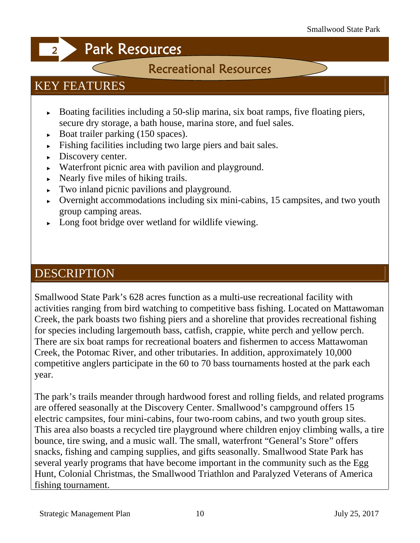### **Recreational Resources**

#### KEY FEATURES

Boating facilities including a 50-slip marina, six boat ramps, five floating piers, secure dry storage, a bath house, marina store, and fuel sales. Boat trailer parking (150 spaces). Fishing facilities including two large piers and bait sales. Discovery center. Waterfront picnic area with pavilion and playground. Nearly five miles of hiking trails. Two inland picnic pavilions and playground. Overnight accommodations including six mini-cabins, 15 campsites, and two youth group camping areas. Long foot bridge over wetland for wildlife viewing.

#### DESCRIPTION

Smallwood State Park's 628 acres function as a multi-use recreational facility with activities ranging from bird watching to competitive bass fishing. Located on Mattawoman Creek, the park boasts two fishing piers and a shoreline that provides recreational fishing for species including largemouth bass, catfish, crappie, white perch and yellow perch. There are six boat ramps for recreational boaters and fishermen to access Mattawoman Creek, the Potomac River, and other tributaries. In addition, approximately 10,000 competitive anglers participate in the 60 to 70 bass tournaments hosted at the park each year.

The park's trails meander through hardwood forest and rolling fields, and related programs are offered seasonally at the Discovery Center. Smallwood's campground offers 15 electric campsites, four mini-cabins, four two-room cabins, and two youth group sites. This area also boasts a recycled tire playground where children enjoy climbing walls, a tire bounce, tire swing, and a music wall. The small, waterfront "General's Store" offers snacks, fishing and camping supplies, and gifts seasonally. Smallwood State Park has several yearly programs that have become important in the community such as the Egg Hunt, Colonial Christmas, the Smallwood Triathlon and Paralyzed Veterans of America fishing tournament.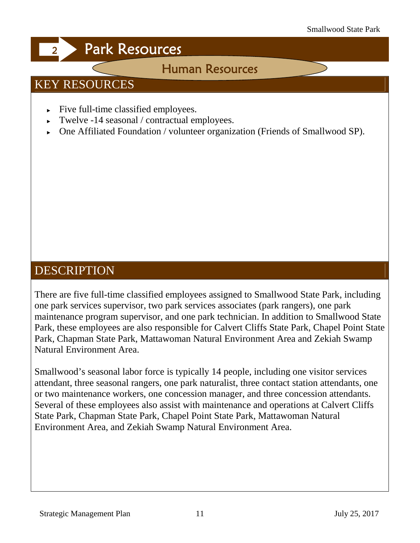#### **Human Resources**

#### KEY RESOURCES

Five full-time classified employees. Twelve -14 seasonal / contractual employees. One Affiliated Foundation / volunteer organization (Friends of Smallwood SP).

#### **DESCRIPTION**

There are five full-time classified employees assigned to Smallwood State Park, including one park services supervisor, two park services associates (park rangers), one park maintenance program supervisor, and one park technician. In addition to Smallwood State Park, these employees are also responsible for Calvert Cliffs State Park, Chapel Point State Park, Chapman State Park, Mattawoman Natural Environment Area and Zekiah Swamp Natural Environment Area.

Smallwood's seasonal labor force is typically 14 people, including one visitor services attendant, three seasonal rangers, one park naturalist, three contact station attendants, one or two maintenance workers, one concession manager, and three concession attendants. Several of these employees also assist with maintenance and operations at Calvert Cliffs State Park, Chapman State Park, Chapel Point State Park, Mattawoman Natural Environment Area, and Zekiah Swamp Natural Environment Area.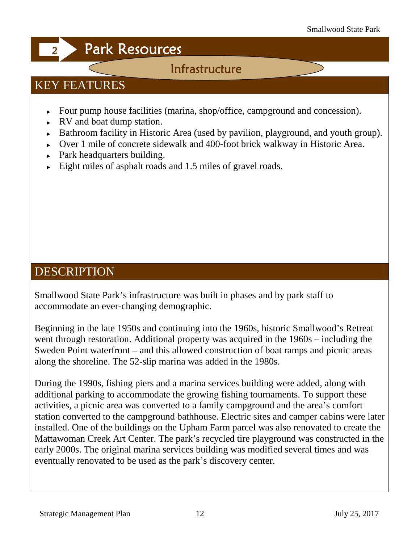#### **Infrastructure**

### KEY FEATURES

Four pump house facilities (marina, shop/office, campground and concession). RV and boat dump station.

Bathroom facility in Historic Area (used by pavilion, playground, and youth group). Over 1 mile of concrete sidewalk and 400-foot brick walkway in Historic Area. Park headquarters building.

Eight miles of asphalt roads and 1.5 miles of gravel roads.

#### **DESCRIPTION**

Smallwood State Park's infrastructure was built in phases and by park staff to accommodate an ever-changing demographic.

Beginning in the late 1950s and continuing into the 1960s, historic Smallwood's Retreat went through restoration. Additional property was acquired in the 1960s – including the Sweden Point waterfront – and this allowed construction of boat ramps and picnic areas along the shoreline. The 52-slip marina was added in the 1980s.

During the 1990s, fishing piers and a marina services building were added, along with additional parking to accommodate the growing fishing tournaments. To support these activities, a picnic area was converted to a family campground and the area's comfort station converted to the campground bathhouse. Electric sites and camper cabins were later installed. One of the buildings on the Upham Farm parcel was also renovated to create the Mattawoman Creek Art Center. The park's recycled tire playground was constructed in the early 2000s. The original marina services building was modified several times and was eventually renovated to be used as the park's discovery center.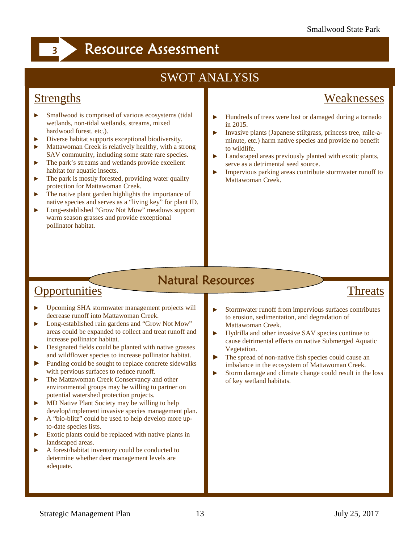### SWOT ANALYSIS

#### **Strengths**

#### Weaknesses

Threats

Smallwood is comprised of various ecosystems (tidal wetlands, non-tidal wetlands, streams, mixed hardwood forest, etc.).

Diverse habitat supports exceptional biodiversity. Mattawoman Creek is relatively healthy, with a strong SAV community, including some state rare species. The park's streams and wetlands provide excellent habitat for aquatic insects.

The park is mostly forested, providing water quality protection for Mattawoman Creek.

The native plant garden highlights the importance of native species and serves as a "living key" for plant ID. Long-established "Grow Not Mow" meadows support warm season grasses and provide exceptional pollinator habitat.

Hundreds of trees were lost or damaged during a tornado in 2015.

Invasive plants (Japanese stiltgrass, princess tree, mile-a minute, etc.) harm native species and provide no benefit to wildlife.

Landscaped areas previously planted with exotic plants, serve as a detrimental seed source.

Impervious parking areas contribute stormwater runoff to Mattawoman Creek.

### **Natural Resources**

#### **Opportunities**

Upcoming SHA stormwater management projects will decrease runoff into Mattawoman Creek.

Long-established rain gardens and "Grow Not Mow" areas could be expanded to collect and treat runoff and increase pollinator habitat.

Designated fields could be planted with native grasses and wildflower species to increase pollinator habitat. Funding could be sought to replace concrete sidewalks

with pervious surfaces to reduce runoff. The Mattawoman Creek Conservancy and other environmental groups may be willing to partner on potential watershed protection projects.

MD Native Plant Society may be willing to help develop/implement invasive species management plan. A "bio-blitz" could be used to help develop more up-

to-date species lists. Exotic plants could be replaced with native plants in

landscaped areas.

A forest/habitat inventory could be conducted to determine whether deer management levels are adequate.

Stormwater runoff from impervious surfaces contributes to erosion, sedimentation, and degradation of Mattawoman Creek.

Hydrilla and other invasive SAV species continue to cause detrimental effects on native Submerged Aquatic Vegetation.

The spread of non-native fish species could cause an imbalance in the ecosystem of Mattawoman Creek. Storm damage and climate change could result in the loss of key wetland habitats.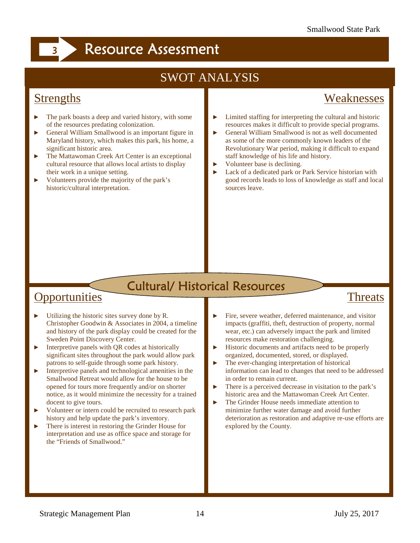#### SWOT ANALYSIS

#### **Strengths**

#### Weaknesses

The park boasts a deep and varied history, with some of the resources predating colonization.

General William Smallwood is an important figure in Maryland history, which makes this park, his home, a significant historic area.

The Mattawoman Creek Art Center is an exceptional cultural resource that allows local artists to display their work in a unique setting.

Volunteers provide the majority of the park's historic/cultural interpretation.

Limited staffing for interpreting the cultural and historic resources makes it difficult to provide special programs. General William Smallwood is not as well documented as some of the more commonly known leaders of the Revolutionary War period, making it difficult to expand staff knowledge of his life and history. Volunteer base is declining.

Lack of a dedicated park or Park Service historian with good records leads to loss of knowledge as staff and local sources leave.

#### **Cultural/ Historical Resources**

#### **Opportunities**

Utilizing the historic sites survey done by R. Christopher Goodwin & Associates in 2004, a timeline and history of the park display could be created for the Sweden Point Discovery Center.

Interpretive panels with QR codes at historically significant sites throughout the park would allow park patrons to self-guide through some park history. Interpretive panels and technological amenities in the Smallwood Retreat would allow for the house to be opened for tours more frequently and/or on shorter

notice, as it would minimize the necessity for a trained docent to give tours.

Volunteer or intern could be recruited to research park history and help update the park's inventory.

There is interest in restoring the Grinder House for interpretation and use as office space and storage for the "Friends of Smallwood."

#### **Threats**

Fire, severe weather, deferred maintenance, and visitor impacts (graffiti, theft, destruction of property, normal wear, etc.) can adversely impact the park and limited resources make restoration challenging. Historic documents and artifacts need to be properly organized, documented, stored, or displayed. The ever-changing interpretation of historical information can lead to changes that need to be addressed in order to remain current. There is a perceived decrease in visitation to the park's

historic area and the Mattawoman Creek Art Center. The Grinder House needs immediate attention to minimize further water damage and avoid further deterioration as restoration and adaptive re-use efforts are explored by the County.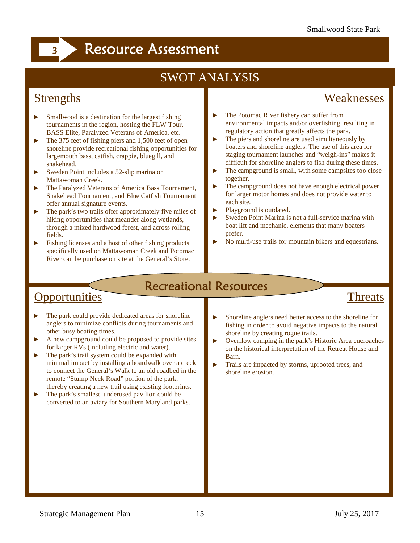### SWOT ANALYSIS

#### **Strengths**

#### Weaknesses

Smallwood is a destination for the largest fishing tournaments in the region, hosting the FLW Tour, BASS Elite, Paralyzed Veterans of America, etc. The 375 feet of fishing piers and 1,500 feet of open shoreline provide recreational fishing opportunities for largemouth bass, catfish, crappie, bluegill, and snakehead.

Sweden Point includes a 52-slip marina on Mattawoman Creek.

The Paralyzed Veterans of America Bass Tournament, Snakehead Tournament, and Blue Catfish Tournament offer annual signature events.

The park's two trails offer approximately five miles of hiking opportunities that meander along wetlands, through a mixed hardwood forest, and across rolling fields.

Fishing licenses and a host of other fishing products specifically used on Mattawoman Creek and Potomac River can be purchase on site at the General's Store.

The Potomac River fishery can suffer from environmental impacts and/or overfishing, resulting in regulatory action that greatly affects the park.

The piers and shoreline are used simultaneously by boaters and shoreline anglers. The use of this area for staging tournament launches and "weigh-ins" makes it difficult for shoreline anglers to fish during these times. The campground is small, with some campsites too close together.

The campground does not have enough electrical power for larger motor homes and does not provide water to each site.

Playground is outdated.

Sweden Point Marina is not a full-service marina with boat lift and mechanic, elements that many boaters prefer.

No multi-use trails for mountain bikers and equestrians.

### **Recreational Resources**

#### **Opportunities**

The park could provide dedicated areas for shoreline anglers to minimize conflicts during tournaments and other busy boating times.

A new campground could be proposed to provide sites for larger RVs (including electric and water). The park's trail system could be expanded with minimal impact by installing a boardwalk over a creek to connect the General's Walk to an old roadbed in the remote "Stump Neck Road" portion of the park, thereby creating a new trail using existing footprints. The park's smallest, underused pavilion could be converted to an aviary for Southern Maryland parks.

### **Threats**

Shoreline anglers need better access to the shoreline for fishing in order to avoid negative impacts to the natural shoreline by creating rogue trails.

Overflow camping in the park's Historic Area encroaches on the historical interpretation of the Retreat House and Barn.

Trails are impacted by storms, uprooted trees, and shoreline erosion.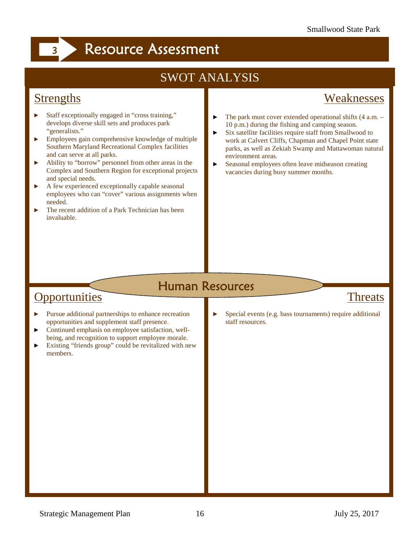### SWOT ANALYSIS

#### **Strengths**

#### Weaknesses

Staff exceptionally engaged in "cross training," develops diverse skill sets and produces park "generalists."

Employees gain comprehensive knowledge of multiple Southern Maryland Recreational Complex facilities and can serve at all parks.

Ability to "borrow" personnel from other areas in the Complex and Southern Region for exceptional projects and special needs.

A few experienced exceptionally capable seasonal employees who can "cover" various assignments when needed.

The recent addition of a Park Technician has been invaluable.

The park must cover extended operational shifts (4 a.m. – 10 p.m.) during the fishing and camping season. Six satellite facilities require staff from Smallwood to work at Calvert Cliffs, Chapman and Chapel Point state parks, as well as Zekiah Swamp and Mattawoman natural environment areas.

Seasonal employees often leave midseason creating vacancies during busy summer months.

### **Human Resources**

#### **Opportunities**

Pursue additional partnerships to enhance recreation opportunities and supplement staff presence. Continued emphasis on employee satisfaction, well being, and recognition to support employee morale. Existing "friends group" could be revitalized with new members.

#### Threats

Special events (e.g. bass tournaments) require additional staff resources.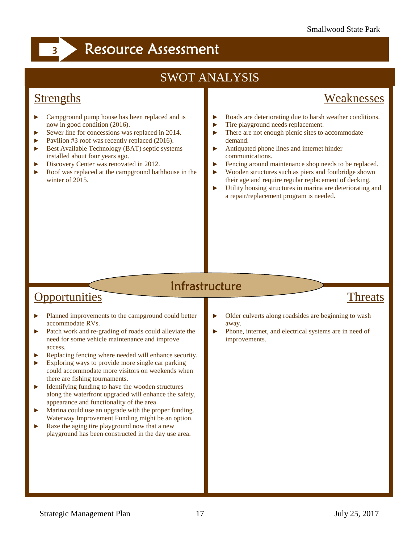### SWOT ANALYSIS

#### **Strengths**

#### Weaknesses

Campground pump house has been replaced and is now in good condition (2016).

Sewer line for concessions was replaced in 2014. Pavilion #3 roof was recently replaced (2016). Best Available Technology (BAT) septic systems installed about four years ago.

Discovery Center was renovated in 2012.

Roof was replaced at the campground bathhouse in the winter of 2015.

Roads are deteriorating due to harsh weather conditions. Tire playground needs replacement.

There are not enough picnic sites to accommodate demand.

Antiquated phone lines and internet hinder communications.

Fencing around maintenance shop needs to be replaced. Wooden structures such as piers and footbridge shown their age and require regular replacement of decking. Utility housing structures in marina are deteriorating and a repair/replacement program is needed.

#### **Infrastructure**

#### **Opportunities**

Planned improvements to the campground could better accommodate RVs.

Patch work and re-grading of roads could alleviate the need for some vehicle maintenance and improve access.

Replacing fencing where needed will enhance security. Exploring ways to provide more single car parking could accommodate more visitors on weekends when there are fishing tournaments.

Identifying funding to have the wooden structures along the waterfront upgraded will enhance the safety, appearance and functionality of the area.

Marina could use an upgrade with the proper funding. Waterway Improvement Funding might be an option. Raze the aging tire playground now that a new playground has been constructed in the day use area.

#### Threats

Older culverts along roadsides are beginning to wash away.

Phone, internet, and electrical systems are in need of improvements.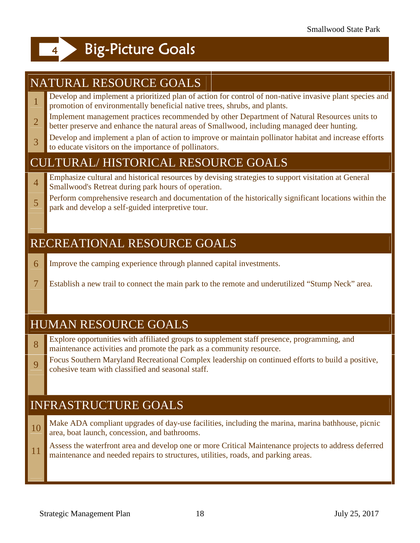## **Big-Picture Goals**

### NATURAL RESOURCE GOALS

- <sup>1</sup> Develop and implement a prioritized plan of action for control of non-native invasive plant species and promotion of environmentally beneficial native trees, shrubs, and plants.
- 2 better preserve and enhance the natural areas of Smallwood, including managed deer hunting. Implement management practices recommended by other Department of Natural Resources units to
- program. 3 Develop and implement a plan of action to improve or maintain pollinator habitat and increase efforts to educate visitors on the importance of pollinators.

#### CULTURAL/ HISTORICAL RESOURCE GOALS

- **Emphasize cultural and historical resources by devising strategies to support visitation at General** Smallwood's Retreat during park hours of operation.
- 5 **park and develop a self-guided interpretive tour.** Perform comprehensive research and documentation of the historically significant locations within the

#### RECREATIONAL RESOURCE GOALS

- 6 Improve the camping experience through planned capital investments.
- 7 Establish a new trail to connect the main park to the remote and underutilized "Stump Neck" area.

#### HUMAN RESOURCE GOALS

- <sup>8</sup> Explore opportunities with affiliated groups to supplement staff presence, programming, and maintenance activities and promote the park as a community resource.
- 9 Cocus Southern Maryland Recreational Complex leads Focus Southern Maryland Recreational Complex leadership on continued efforts to build a positive,

### INFRASTRUCTURE GOALS

- 10 Make ADA compliant upgrades of day-use facilities, including the marina, marina bathhouse, picnic area, boat launch, concession, and bathrooms.
- <sup>11</sup> Assess the waterfront area and develop one or more Critical Maintenance projects to address deferred maintenance and needed repairs to structures, utilities, roads, and parking areas.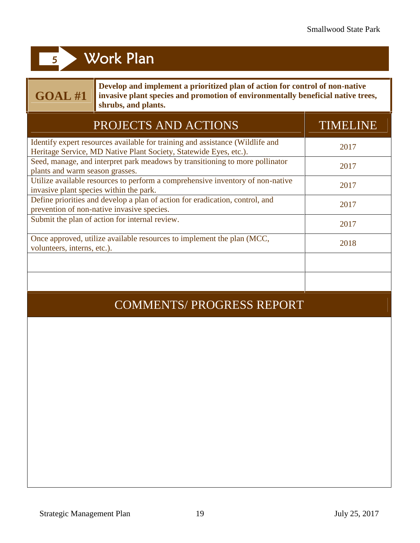## **GOAL #1**

**Develop and implement a prioritized plan of action for control of non-native invasive plant species and promotion of environmentally beneficial native trees, shrubs, and plants.**

| PROJECTS AND ACTIONS                                                                                                                               | <b>TIMELINE</b> |
|----------------------------------------------------------------------------------------------------------------------------------------------------|-----------------|
| Identify expert resources available for training and assistance (Wildlife and<br>Heritage Service, MD Native Plant Society, Statewide Eyes, etc.). | 2017            |
| Seed, manage, and interpret park meadows by transitioning to more pollinator<br>plants and warm season grasses.                                    | 2017            |
| Utilize available resources to perform a comprehensive inventory of non-native<br>invasive plant species within the park.                          | 2017            |
| Define priorities and develop a plan of action for eradication, control, and<br>prevention of non-native invasive species.                         | 2017            |
| Submit the plan of action for internal review.                                                                                                     | 2017            |
| Once approved, utilize available resources to implement the plan (MCC,<br>volunteers, interns, etc.).                                              | 2018            |
|                                                                                                                                                    |                 |
|                                                                                                                                                    |                 |

#### COMMENTS/ PROGRESS REPORT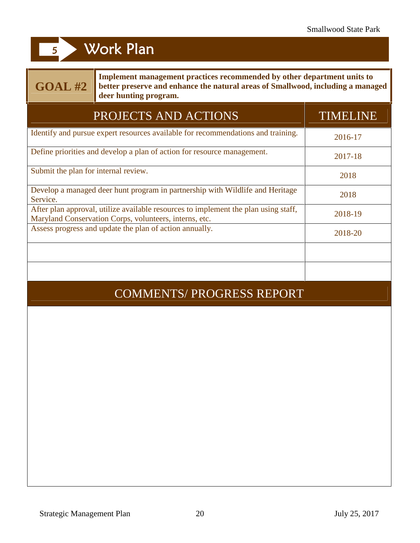| Implement management practices recommended by other department units to<br><b>GOAL #2</b><br>better preserve and enhance the natural areas of Smallwood, including a managed<br>deer hunting program. |                 |  |
|-------------------------------------------------------------------------------------------------------------------------------------------------------------------------------------------------------|-----------------|--|
| PROJECTS AND ACTIONS                                                                                                                                                                                  | <b>TIMELINE</b> |  |
| Identify and pursue expert resources available for recommendations and training.                                                                                                                      | 2016-17         |  |
| Define priorities and develop a plan of action for resource management.                                                                                                                               | 2017-18         |  |
| Submit the plan for internal review.                                                                                                                                                                  | 2018            |  |
| Develop a managed deer hunt program in partnership with Wildlife and Heritage<br>Service.                                                                                                             | 2018            |  |
| After plan approval, utilize available resources to implement the plan using staff,<br>Maryland Conservation Corps, volunteers, interns, etc.                                                         | 2018-19         |  |
| Assess progress and update the plan of action annually.                                                                                                                                               | 2018-20         |  |
|                                                                                                                                                                                                       |                 |  |
|                                                                                                                                                                                                       |                 |  |
| <b>COMMENTS/ PROGRESS REPORT</b>                                                                                                                                                                      |                 |  |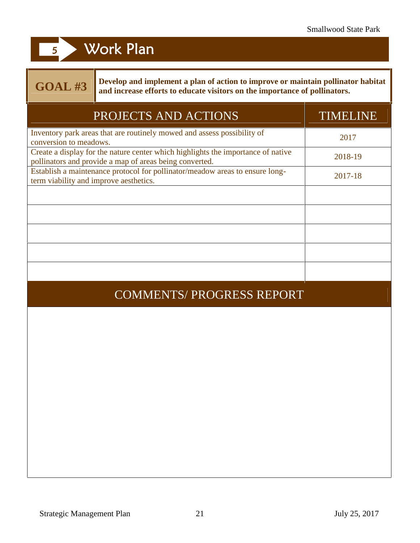## **GOAL #3**

**Develop and implement a plan of action to improve or maintain pollinator habitat and increase efforts to educate visitors on the importance of pollinators.**

| PROJECTS AND ACTIONS                                                                                                                        | <b>TIMELINE</b> |
|---------------------------------------------------------------------------------------------------------------------------------------------|-----------------|
| Inventory park areas that are routinely mowed and assess possibility of<br>conversion to meadows.                                           | 2017            |
| Create a display for the nature center which highlights the importance of native<br>pollinators and provide a map of areas being converted. | 2018-19         |
| Establish a maintenance protocol for pollinator/meadow areas to ensure long-<br>term viability and improve aesthetics.                      | 2017-18         |
|                                                                                                                                             |                 |
|                                                                                                                                             |                 |
|                                                                                                                                             |                 |
|                                                                                                                                             |                 |
|                                                                                                                                             |                 |
| <b>COMMENTS/ PROGRESS REPORT</b>                                                                                                            |                 |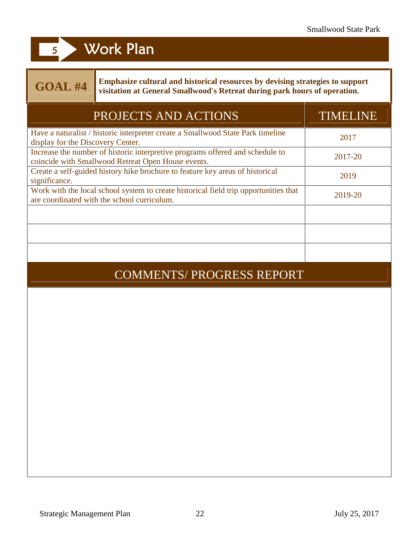## **GOAL #4**

**Emphasize cultural and historical resources by devising strategies to support visitation at General Smallwood's Retreat during park hours of operation.**

| <b>TIMELINE</b>                  |
|----------------------------------|
| 2017                             |
| 2017-20                          |
| 2019                             |
| 2019-20                          |
|                                  |
|                                  |
|                                  |
|                                  |
|                                  |
|                                  |
|                                  |
|                                  |
|                                  |
| <b>COMMENTS/ PROGRESS REPORT</b> |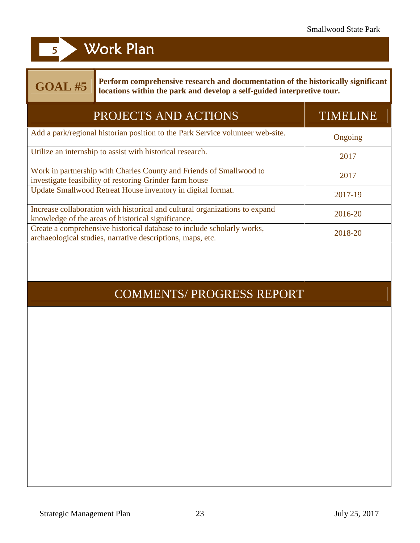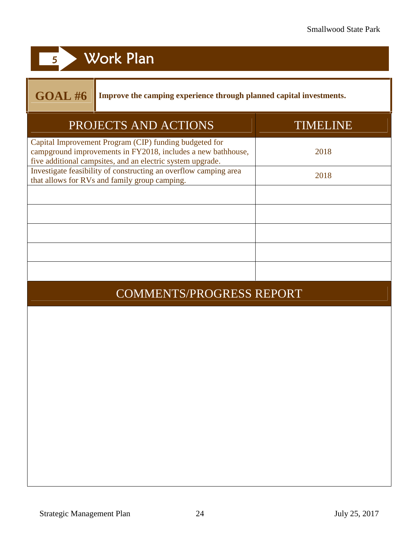## **18 Work Plan 5** Work Plan

**GOAL #6 Improve the camping experience through planned capital investments.**

| PROJECTS AND ACTIONS                                                                                                                                                                 | TIMELINE |
|--------------------------------------------------------------------------------------------------------------------------------------------------------------------------------------|----------|
| Capital Improvement Program (CIP) funding budgeted for<br>campground improvements in FY2018, includes a new bathhouse,<br>five additional campsites, and an electric system upgrade. | 2018     |
| Investigate feasibility of constructing an overflow camping area<br>that allows for RVs and family group camping.                                                                    | 2018     |
|                                                                                                                                                                                      |          |
|                                                                                                                                                                                      |          |
|                                                                                                                                                                                      |          |
|                                                                                                                                                                                      |          |

### COMMENTS/PROGRESS REPORT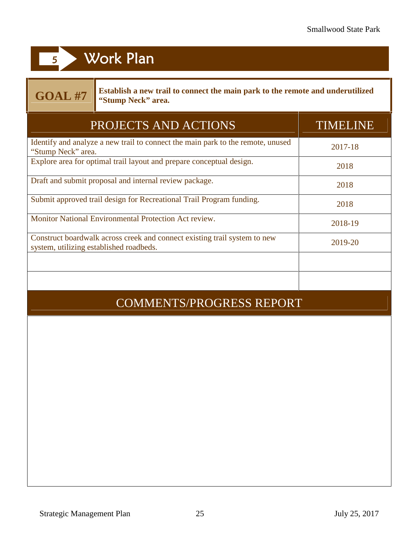## **GOAL #7**

**Establish a new trail to connect the main park to the remote and underutilized "Stump Neck" area.**

| PROJECTS AND ACTIONS                                                                                                 | <b>TIMELINE</b> |
|----------------------------------------------------------------------------------------------------------------------|-----------------|
| Identify and analyze a new trail to connect the main park to the remote, unused<br>"Stump Neck" area.                | 2017-18         |
| Explore area for optimal trail layout and prepare conceptual design.                                                 | 2018            |
| Draft and submit proposal and internal review package.                                                               | 2018            |
| Submit approved trail design for Recreational Trail Program funding.                                                 | 2018            |
| <b>Monitor National Environmental Protection Act review.</b>                                                         | 2018-19         |
| Construct boardwalk across creek and connect existing trail system to new<br>system, utilizing established roadbeds. | 2019-20         |
|                                                                                                                      |                 |
| <b>COMMENTS/PROGRESS REPORT</b>                                                                                      |                 |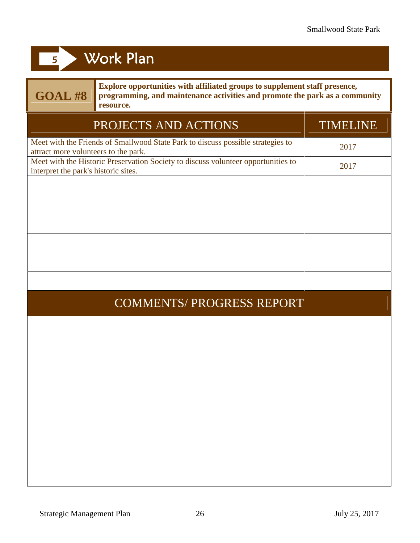| <b>GOAL #8</b>                       | Explore opportunities with affiliated groups to supplement staff presence,<br>programming, and maintenance activities and promote the park as a community<br>resource. |                 |
|--------------------------------------|------------------------------------------------------------------------------------------------------------------------------------------------------------------------|-----------------|
|                                      | PROJECTS AND ACTIONS                                                                                                                                                   | <b>TIMELINE</b> |
| attract more volunteers to the park. | Meet with the Friends of Smallwood State Park to discuss possible strategies to                                                                                        | 2017            |
| interpret the park's historic sites. | Meet with the Historic Preservation Society to discuss volunteer opportunities to                                                                                      | 2017            |
|                                      |                                                                                                                                                                        |                 |
|                                      |                                                                                                                                                                        |                 |
|                                      |                                                                                                                                                                        |                 |
|                                      |                                                                                                                                                                        |                 |
|                                      |                                                                                                                                                                        |                 |
|                                      |                                                                                                                                                                        |                 |
|                                      | <b>COMMENTS/ PROGRESS REPORT</b>                                                                                                                                       |                 |
|                                      |                                                                                                                                                                        |                 |
|                                      |                                                                                                                                                                        |                 |
|                                      |                                                                                                                                                                        |                 |
|                                      |                                                                                                                                                                        |                 |
|                                      |                                                                                                                                                                        |                 |
|                                      |                                                                                                                                                                        |                 |
|                                      |                                                                                                                                                                        |                 |
|                                      |                                                                                                                                                                        |                 |
|                                      |                                                                                                                                                                        |                 |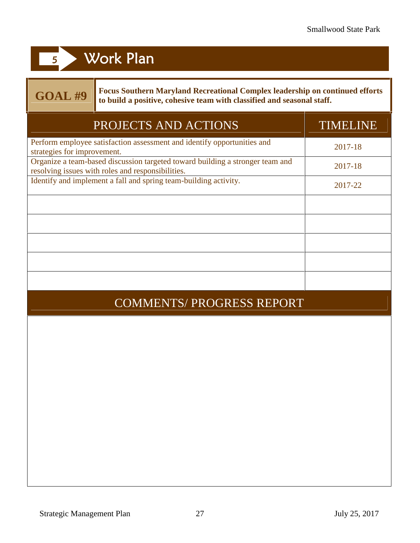## **GOAL #9**

**Focus Southern Maryland Recreational Complex leadership on continued efforts to build a positive, cohesive team with classified and seasonal staff.**

| PROJECTS AND ACTIONS                                                                                                               | TIMELINE |
|------------------------------------------------------------------------------------------------------------------------------------|----------|
| Perform employee satisfaction assessment and identify opportunities and<br>strategies for improvement.                             | 2017-18  |
| Organize a team-based discussion targeted toward building a stronger team and<br>resolving issues with roles and responsibilities. | 2017-18  |
| Identify and implement a fall and spring team-building activity.                                                                   | 2017-22  |
|                                                                                                                                    |          |
|                                                                                                                                    |          |
|                                                                                                                                    |          |
|                                                                                                                                    |          |
|                                                                                                                                    |          |
| <b>COMMENTS/ PROGRESS REPORT</b>                                                                                                   |          |
|                                                                                                                                    |          |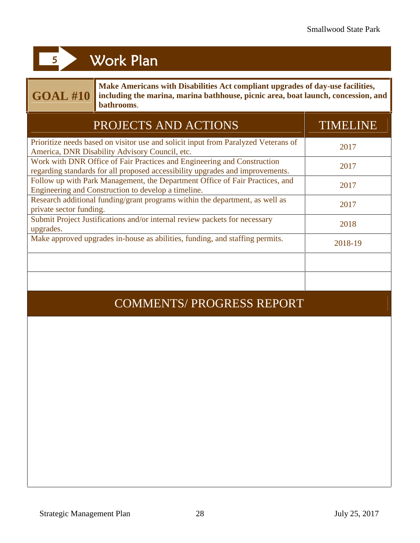## **GOAL #10**

**Make Americans with Disabilities Act compliant upgrades of day-use facilities, including the marina, marina bathhouse, picnic area, boat launch, concession, and bathrooms**.

| PROJECTS AND ACTIONS                                                                                                                                     | <b>TIMELINE</b> |
|----------------------------------------------------------------------------------------------------------------------------------------------------------|-----------------|
| Prioritize needs based on visitor use and solicit input from Paralyzed Veterans of<br>America, DNR Disability Advisory Council, etc.                     | 2017            |
| Work with DNR Office of Fair Practices and Engineering and Construction<br>regarding standards for all proposed accessibility upgrades and improvements. | 2017            |
| Follow up with Park Management, the Department Office of Fair Practices, and<br>Engineering and Construction to develop a timeline.                      | 2017            |
| Research additional funding/grant programs within the department, as well as<br>private sector funding.                                                  | 2017            |
| Submit Project Justifications and/or internal review packets for necessary<br>upgrades.                                                                  | 2018            |
| Make approved upgrades in-house as abilities, funding, and staffing permits.                                                                             | 2018-19         |
|                                                                                                                                                          |                 |
|                                                                                                                                                          |                 |

### COMMENTS/ PROGRESS REPORT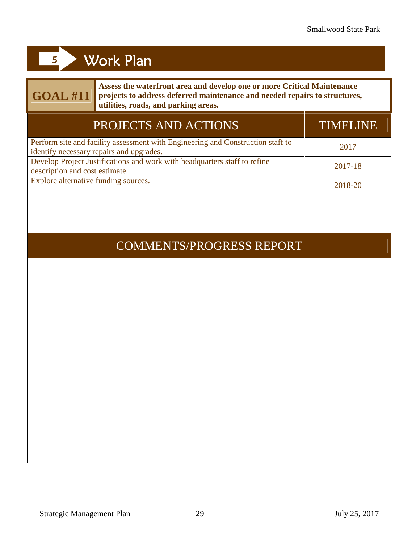## **GOAL #11**

**Assess the waterfront area and develop one or more Critical Maintenance projects to address deferred maintenance and needed repairs to structures, utilities, roads, and parking areas.**

| PROJECTS AND ACTIONS                                                                                                        | TIMELINE |
|-----------------------------------------------------------------------------------------------------------------------------|----------|
| Perform site and facility assessment with Engineering and Construction staff to<br>identify necessary repairs and upgrades. | 2017     |
| Develop Project Justifications and work with headquarters staff to refine<br>description and cost estimate.                 | 2017-18  |
| Explore alternative funding sources.                                                                                        | 2018-20  |
|                                                                                                                             |          |
|                                                                                                                             |          |

### COMMENTS/PROGRESS REPORT